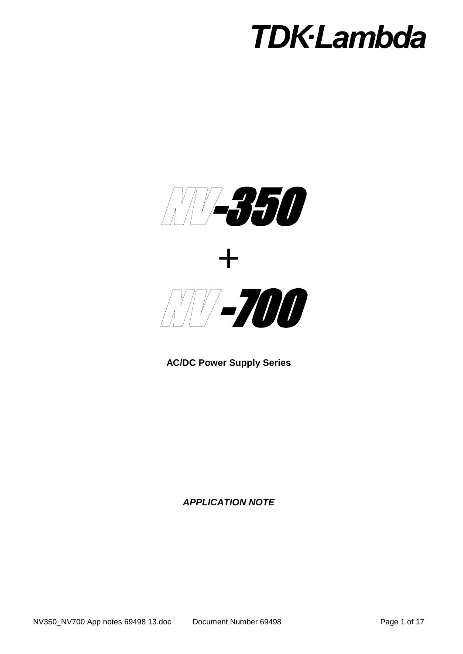

**AC/DC Power Supply Series**

*APPLICATION NOTE*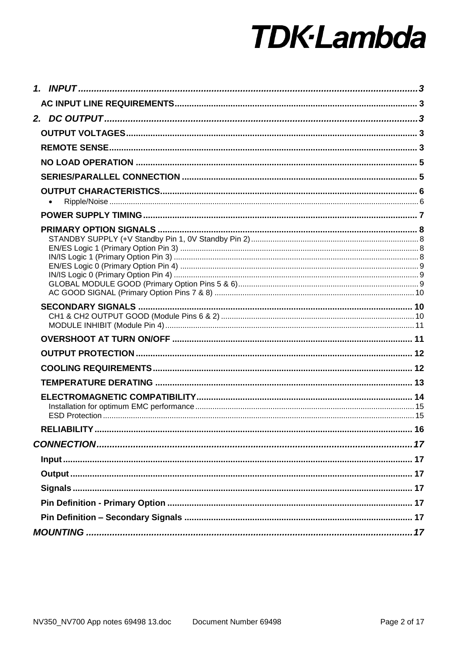| <b>RELIABILITY</b> |  |
|--------------------|--|
|                    |  |
|                    |  |
|                    |  |
|                    |  |
|                    |  |
|                    |  |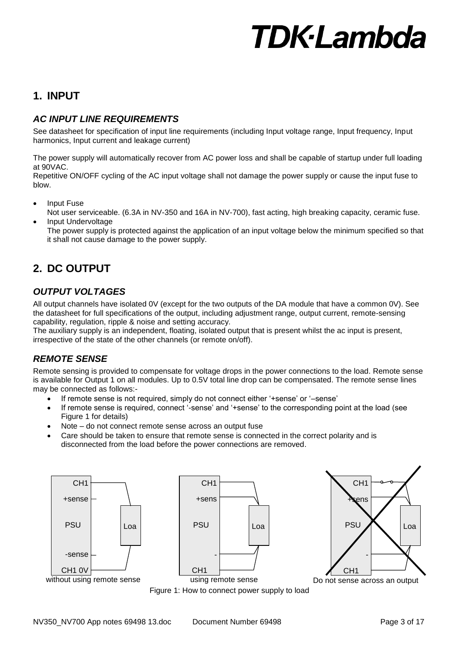# **1. INPUT**

# *AC INPUT LINE REQUIREMENTS*

See datasheet for specification of input line requirements (including Input voltage range, Input frequency, Input harmonics, Input current and leakage current)

The power supply will automatically recover from AC power loss and shall be capable of startup under full loading at 90VAC.

Repetitive ON/OFF cycling of the AC input voltage shall not damage the power supply or cause the input fuse to blow.

- Input Fuse
- Not user serviceable. (6.3A in NV-350 and 16A in NV-700), fast acting, high breaking capacity, ceramic fuse. Input Undervoltage

The power supply is protected against the application of an input voltage below the minimum specified so that it shall not cause damage to the power supply.

# **2. DC OUTPUT**

## *OUTPUT VOLTAGES*

All output channels have isolated 0V (except for the two outputs of the DA module that have a common 0V). See the datasheet for full specifications of the output, including adjustment range, output current, remote-sensing capability, regulation, ripple & noise and setting accuracy.

The auxiliary supply is an independent, floating, isolated output that is present whilst the ac input is present, irrespective of the state of the other channels (or remote on/off).

## *REMOTE SENSE*

Remote sensing is provided to compensate for voltage drops in the power connections to the load. Remote sense is available for Output 1 on all modules. Up to 0.5V total line drop can be compensated. The remote sense lines may be connected as follows:-

- If remote sense is not required, simply do not connect either '+sense' or '–sense'
- If remote sense is required, connect '-sense' and '+sense' to the corresponding point at the load (see Figure 1 for details)
- Note do not connect remote sense across an output fuse
- Care should be taken to ensure that remote sense is connected in the correct polarity and is disconnected from the load before the power connections are removed.







Figure 1: How to connect power supply to load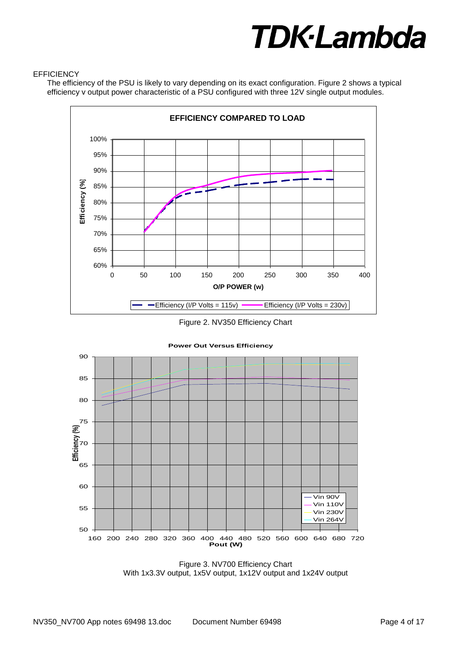#### **EFFICIENCY**

The efficiency of the PSU is likely to vary depending on its exact configuration. Figure 2 shows a typical efficiency v output power characteristic of a PSU configured with three 12V single output modules.



Figure 2. NV350 Efficiency Chart



Figure 3. NV700 Efficiency Chart With 1x3.3V output, 1x5V output, 1x12V output and 1x24V output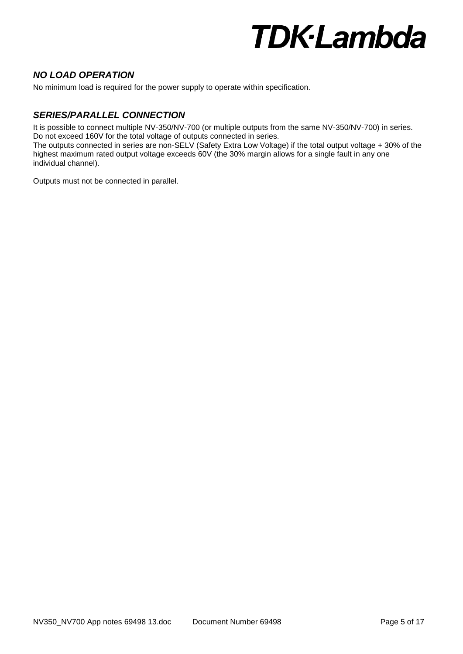### *NO LOAD OPERATION*

No minimum load is required for the power supply to operate within specification.

## *SERIES/PARALLEL CONNECTION*

It is possible to connect multiple NV-350/NV-700 (or multiple outputs from the same NV-350/NV-700) in series. Do not exceed 160V for the total voltage of outputs connected in series.

The outputs connected in series are non-SELV (Safety Extra Low Voltage) if the total output voltage + 30% of the highest maximum rated output voltage exceeds 60V (the 30% margin allows for a single fault in any one individual channel).

Outputs must not be connected in parallel.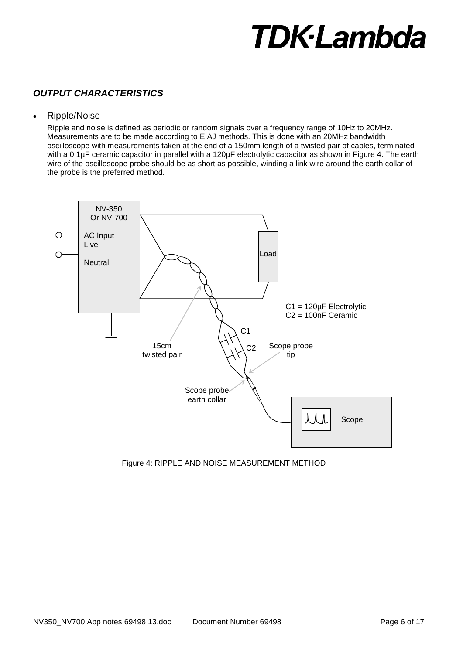# *OUTPUT CHARACTERISTICS*

#### Ripple/Noise

Ripple and noise is defined as periodic or random signals over a frequency range of 10Hz to 20MHz. Measurements are to be made according to EIAJ methods. This is done with an 20MHz bandwidth oscilloscope with measurements taken at the end of a 150mm length of a twisted pair of cables, terminated with a 0.1µF ceramic capacitor in parallel with a 120µF electrolytic capacitor as shown in Figure 4. The earth wire of the oscilloscope probe should be as short as possible, winding a link wire around the earth collar of the probe is the preferred method.



Figure 4: RIPPLE AND NOISE MEASUREMENT METHOD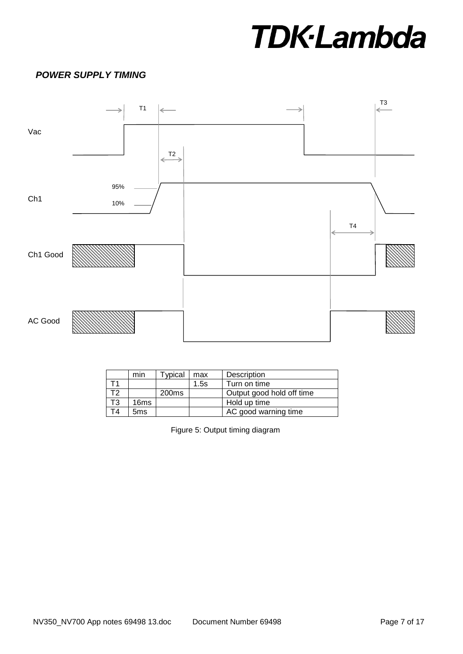# *POWER SUPPLY TIMING*



|    | min             | ypical            | max  | Description               |
|----|-----------------|-------------------|------|---------------------------|
|    |                 |                   | 1.5s | Turn on time              |
|    |                 | 200 <sub>ms</sub> |      | Output good hold off time |
| T3 | 16ms            |                   |      | Hold up time              |
| Г4 | 5 <sub>ms</sub> |                   |      | AC good warning time      |

Figure 5: Output timing diagram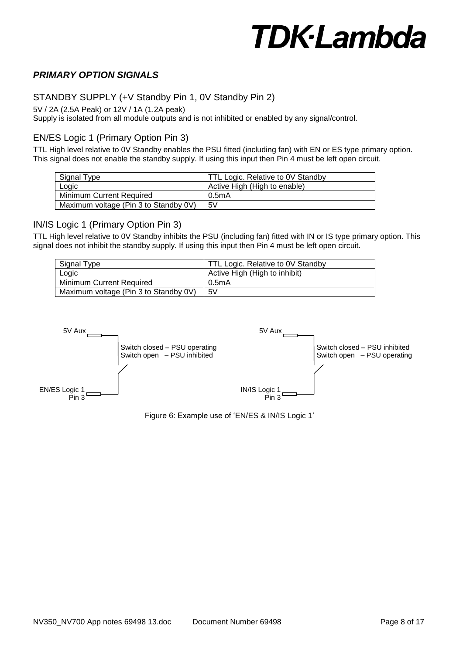### *PRIMARY OPTION SIGNALS*

#### STANDBY SUPPLY (+V Standby Pin 1, 0V Standby Pin 2)

5V / 2A (2.5A Peak) or 12V / 1A (1.2A peak)

Supply is isolated from all module outputs and is not inhibited or enabled by any signal/control.

#### EN/ES Logic 1 (Primary Option Pin 3)

TTL High level relative to 0V Standby enables the PSU fitted (including fan) with EN or ES type primary option. This signal does not enable the standby supply. If using this input then Pin 4 must be left open circuit.

| Signal Type                           | TTL Logic. Relative to 0V Standby |
|---------------------------------------|-----------------------------------|
| Logic                                 | Active High (High to enable)      |
| Minimum Current Required              | 0.5mA                             |
| Maximum voltage (Pin 3 to Standby 0V) | 5V                                |

#### IN/IS Logic 1 (Primary Option Pin 3)

TTL High level relative to 0V Standby inhibits the PSU (including fan) fitted with IN or IS type primary option. This signal does not inhibit the standby supply. If using this input then Pin 4 must be left open circuit.

| Signal Type                           | TTL Logic. Relative to 0V Standby |
|---------------------------------------|-----------------------------------|
| Logic                                 | Active High (High to inhibit)     |
| Minimum Current Required              | 0.5mA                             |
| Maximum voltage (Pin 3 to Standby 0V) | 5V                                |



Figure 6: Example use of 'EN/ES & IN/IS Logic 1'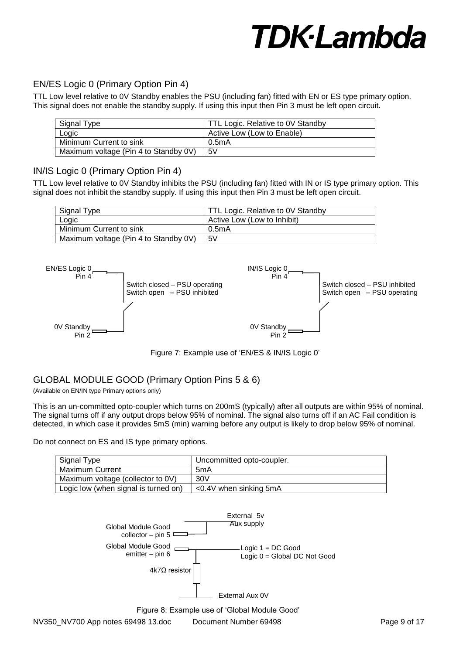## EN/ES Logic 0 (Primary Option Pin 4)

TTL Low level relative to 0V Standby enables the PSU (including fan) fitted with EN or ES type primary option. This signal does not enable the standby supply. If using this input then Pin 3 must be left open circuit.

| Signal Type                           | TTL Logic. Relative to 0V Standby |
|---------------------------------------|-----------------------------------|
| Logic                                 | Active Low (Low to Enable)        |
| Minimum Current to sink               | 0.5mA                             |
| Maximum voltage (Pin 4 to Standby 0V) | 5V                                |

### IN/IS Logic 0 (Primary Option Pin 4)

TTL Low level relative to 0V Standby inhibits the PSU (including fan) fitted with IN or IS type primary option. This signal does not inhibit the standby supply. If using this input then Pin 3 must be left open circuit.

| Signal Type                           | TTL Logic. Relative to 0V Standby |
|---------------------------------------|-----------------------------------|
| Logic                                 | Active Low (Low to Inhibit)       |
| Minimum Current to sink               | 0.5mA                             |
| Maximum voltage (Pin 4 to Standby 0V) | 5V                                |



Figure 7: Example use of 'EN/ES & IN/IS Logic 0'

### GLOBAL MODULE GOOD (Primary Option Pins 5 & 6)

(Available on EN/IN type Primary options only)

This is an un-committed opto-coupler which turns on 200mS (typically) after all outputs are within 95% of nominal. The signal turns off if any output drops below 95% of nominal. The signal also turns off if an AC Fail condition is detected, in which case it provides 5mS (min) warning before any output is likely to drop below 95% of nominal.

Do not connect on ES and IS type primary options.

| Signal Type                          | Uncommitted opto-coupler. |
|--------------------------------------|---------------------------|
| <b>Maximum Current</b>               | 5mA                       |
| Maximum voltage (collector to 0V)    | 30V                       |
| Logic low (when signal is turned on) | $<$ 0.4V when sinking 5mA |



Figure 8: Example use of 'Global Module Good'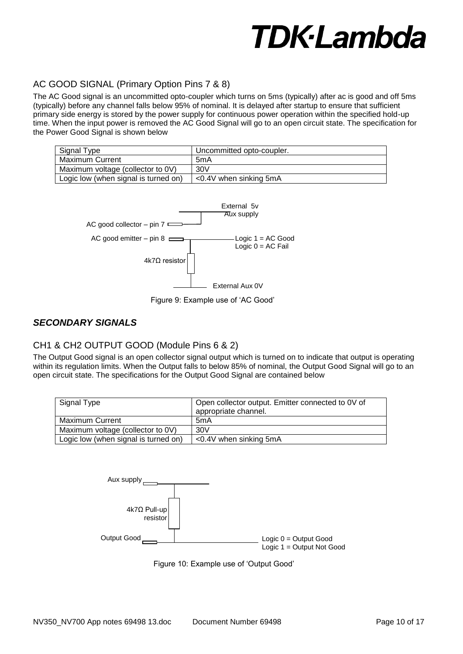# AC GOOD SIGNAL (Primary Option Pins 7 & 8)

The AC Good signal is an uncommitted opto-coupler which turns on 5ms (typically) after ac is good and off 5ms (typically) before any channel falls below 95% of nominal. It is delayed after startup to ensure that sufficient primary side energy is stored by the power supply for continuous power operation within the specified hold-up time. When the input power is removed the AC Good Signal will go to an open circuit state. The specification for the Power Good Signal is shown below

| Signal Type                          | Uncommitted opto-coupler. |
|--------------------------------------|---------------------------|
| <b>Maximum Current</b>               | 5mA                       |
| Maximum voltage (collector to 0V)    | 30V                       |
| Logic low (when signal is turned on) | $<$ 0.4V when sinking 5mA |



Figure 9: Example use of 'AC Good'

#### *SECONDARY SIGNALS*

### CH1 & CH2 OUTPUT GOOD (Module Pins 6 & 2)

The Output Good signal is an open collector signal output which is turned on to indicate that output is operating within its regulation limits. When the Output falls to below 85% of nominal, the Output Good Signal will go to an open circuit state. The specifications for the Output Good Signal are contained below

| Signal Type                          | Open collector output. Emitter connected to 0V of<br>appropriate channel. |
|--------------------------------------|---------------------------------------------------------------------------|
| Maximum Current                      | 5mA                                                                       |
| Maximum voltage (collector to 0V)    | 30V                                                                       |
| Logic low (when signal is turned on) | <0.4V when sinking 5mA                                                    |



Figure 10: Example use of 'Output Good'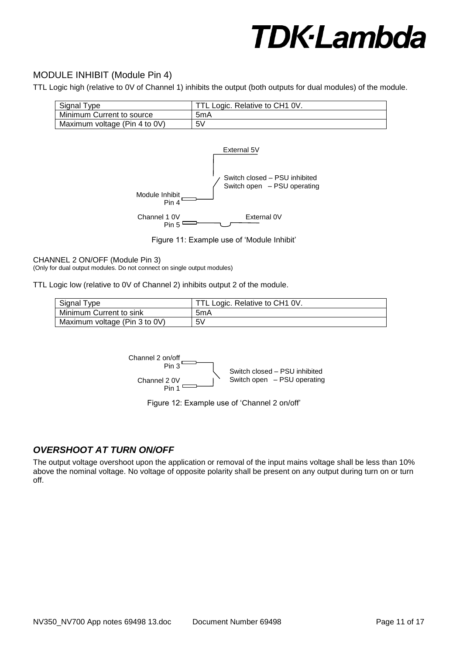## MODULE INHIBIT (Module Pin 4)

TTL Logic high (relative to 0V of Channel 1) inhibits the output (both outputs for dual modules) of the module.

| Signal Type                   | TTL Logic. Relative to CH1 0V. |
|-------------------------------|--------------------------------|
| Minimum Current to source     | 5mA                            |
| Maximum voltage (Pin 4 to 0V) | 5V                             |



Figure 11: Example use of 'Module Inhibit'

#### CHANNEL 2 ON/OFF (Module Pin 3)

(Only for dual output modules. Do not connect on single output modules)

TTL Logic low (relative to 0V of Channel 2) inhibits output 2 of the module.

| Signal Type                   | TTL Logic. Relative to CH1 0V. |
|-------------------------------|--------------------------------|
| Minimum Current to sink       | 5mA                            |
| Maximum voltage (Pin 3 to 0V) | 5V                             |



Figure 12: Example use of 'Channel 2 on/off'

### *OVERSHOOT AT TURN ON/OFF*

The output voltage overshoot upon the application or removal of the input mains voltage shall be less than 10% above the nominal voltage. No voltage of opposite polarity shall be present on any output during turn on or turn off.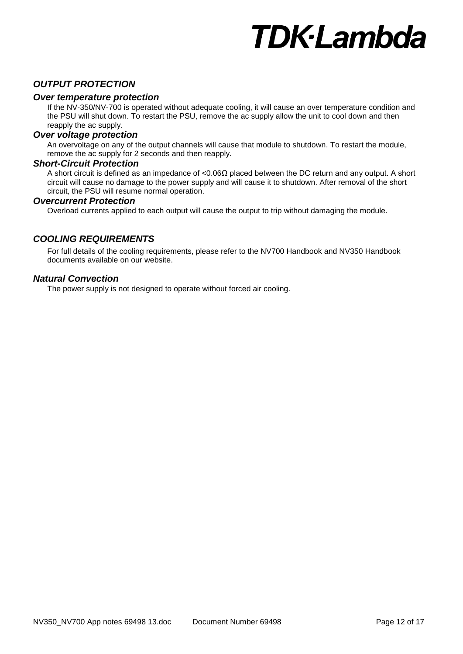### *OUTPUT PROTECTION*

#### *Over temperature protection*

If the NV-350/NV-700 is operated without adequate cooling, it will cause an over temperature condition and the PSU will shut down. To restart the PSU, remove the ac supply allow the unit to cool down and then reapply the ac supply.

#### *Over voltage protection*

An overvoltage on any of the output channels will cause that module to shutdown. To restart the module, remove the ac supply for 2 seconds and then reapply.

#### *Short-Circuit Protection*

A short circuit is defined as an impedance of <0.06Ω placed between the DC return and any output. A short circuit will cause no damage to the power supply and will cause it to shutdown. After removal of the short circuit, the PSU will resume normal operation.

#### *Overcurrent Protection*

Overload currents applied to each output will cause the output to trip without damaging the module.

### *COOLING REQUIREMENTS*

For full details of the cooling requirements, please refer to the NV700 Handbook and NV350 Handbook documents available on our website.

#### *Natural Convection*

The power supply is not designed to operate without forced air cooling.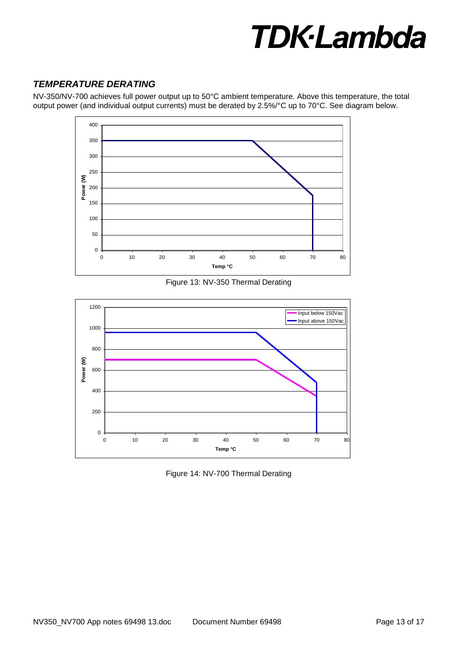# *TEMPERATURE DERATING*

NV-350/NV-700 achieves full power output up to 50°C ambient temperature. Above this temperature, the total output power (and individual output currents) must be derated by 2.5%/°C up to 70°C. See diagram below.



Figure 13: NV-350 Thermal Derating



Figure 14: NV-700 Thermal Derating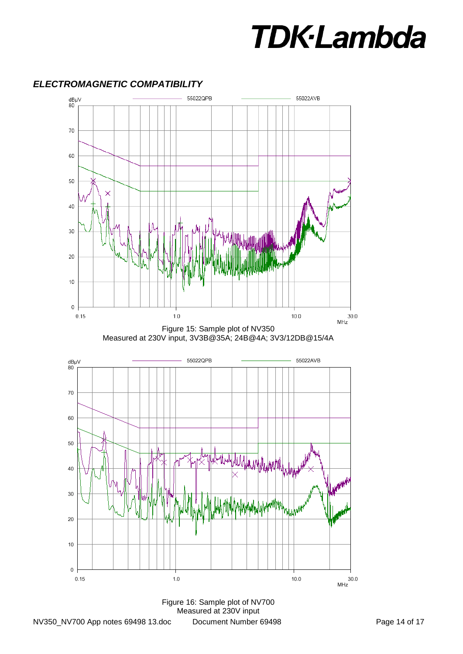

#### *ELECTROMAGNETIC COMPATIBILITY*





Figure 16: Sample plot of NV700 Measured at 230V input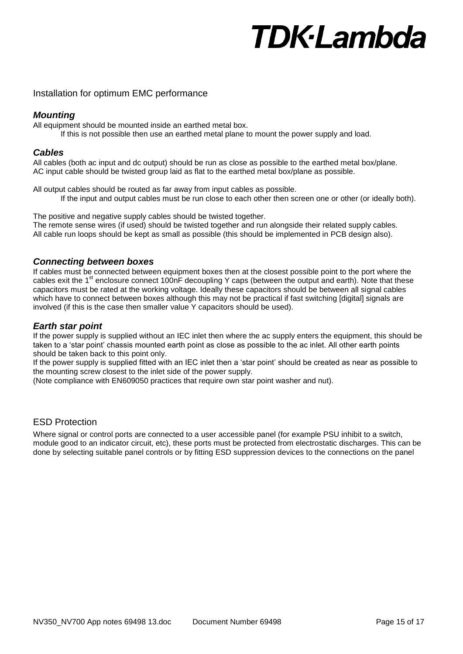## Installation for optimum EMC performance

# *Mounting*

All equipment should be mounted inside an earthed metal box.

If this is not possible then use an earthed metal plane to mount the power supply and load.

# *Cables*

All cables (both ac input and dc output) should be run as close as possible to the earthed metal box/plane. AC input cable should be twisted group laid as flat to the earthed metal box/plane as possible.

All output cables should be routed as far away from input cables as possible. If the input and output cables must be run close to each other then screen one or other (or ideally both).

The positive and negative supply cables should be twisted together. The remote sense wires (if used) should be twisted together and run alongside their related supply cables. All cable run loops should be kept as small as possible (this should be implemented in PCB design also).

# *Connecting between boxes*

If cables must be connected between equipment boxes then at the closest possible point to the port where the cables exit the 1<sup>st</sup> enclosure connect 100nF decoupling Y caps (between the output and earth). Note that these capacitors must be rated at the working voltage. Ideally these capacitors should be between all signal cables which have to connect between boxes although this may not be practical if fast switching [digital] signals are involved (if this is the case then smaller value Y capacitors should be used).

#### *Earth star point*

If the power supply is supplied without an IEC inlet then where the ac supply enters the equipment, this should be taken to a 'star point' chassis mounted earth point as close as possible to the ac inlet. All other earth points should be taken back to this point only.

If the power supply is supplied fitted with an IEC inlet then a 'star point' should be created as near as possible to the mounting screw closest to the inlet side of the power supply.

(Note compliance with EN609050 practices that require own star point washer and nut).

### ESD Protection

Where signal or control ports are connected to a user accessible panel (for example PSU inhibit to a switch, module good to an indicator circuit, etc), these ports must be protected from electrostatic discharges. This can be done by selecting suitable panel controls or by fitting ESD suppression devices to the connections on the panel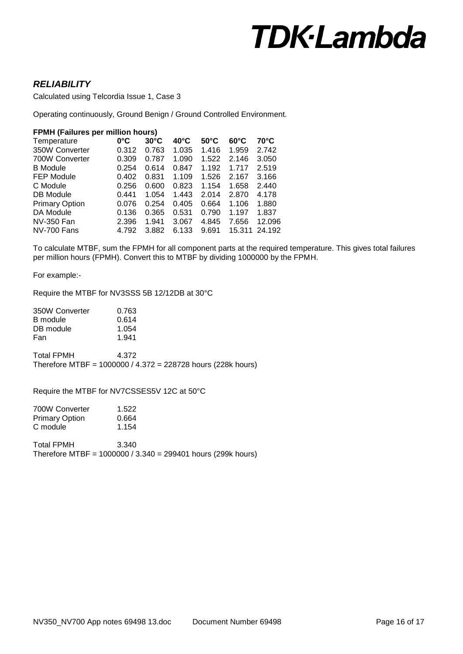### *RELIABILITY*

Calculated using Telcordia Issue 1, Case 3

Operating continuously, Ground Benign / Ground Controlled Environment.

#### **FPMH (Failures per million hours)**

| $0^{\circ}$ C | $30^{\circ}$ C | $40^{\circ}$ C | $50^{\circ}$ C | $60^{\circ}$ C | $70^{\circ}$ C |
|---------------|----------------|----------------|----------------|----------------|----------------|
| 0.312         | 0.763          | 1.035          | 1.416          | 1.959          | 2.742          |
| 0.309         | 0.787          | 1.090          | 1.522          | 2.146          | 3.050          |
| 0.254         | 0.614          | 0.847          | 1.192          | 1.717          | 2.519          |
| 0.402         | 0.831          | 1.109          | 1.526          | 2.167          | 3.166          |
| 0.256         | 0.600          | 0.823          | 1.154          | 1.658          | 2.440          |
| 0.441         | 1.054          | 1.443          | 2.014          | 2.870          | 4.178          |
| 0.076         | 0.254          | 0.405          | 0.664          | 1.106          | 1.880          |
| 0.136         | 0.365          | 0.531          | 0.790          | 1.197          | 1.837          |
| 2.396         | 1.941          | 3.067          | 4.845          | 7.656          | 12.096         |
| 4.792         | 3.882          | 6.133          | 9.691          |                | 24.192         |
|               |                |                |                |                | 15.311         |

To calculate MTBF, sum the FPMH for all component parts at the required temperature. This gives total failures per million hours (FPMH). Convert this to MTBF by dividing 1000000 by the FPMH.

For example:-

Require the MTBF for NV3SSS 5B 12/12DB at 30°C

| 350W Converter | 0.763 |
|----------------|-------|
| B module       | 0.614 |
| DB module      | 1.054 |
| Fan            | 1.941 |

Total FPMH 4.372 Therefore MTBF = 1000000 / 4.372 = 228728 hours (228k hours)

Require the MTBF for NV7CSSES5V 12C at 50°C

| 700W Converter | 1.522 |
|----------------|-------|
| Primary Option | 0.664 |
| C module       | 1.154 |

Total FPMH 3.340 Therefore MTBF = 1000000 / 3.340 = 299401 hours (299k hours)